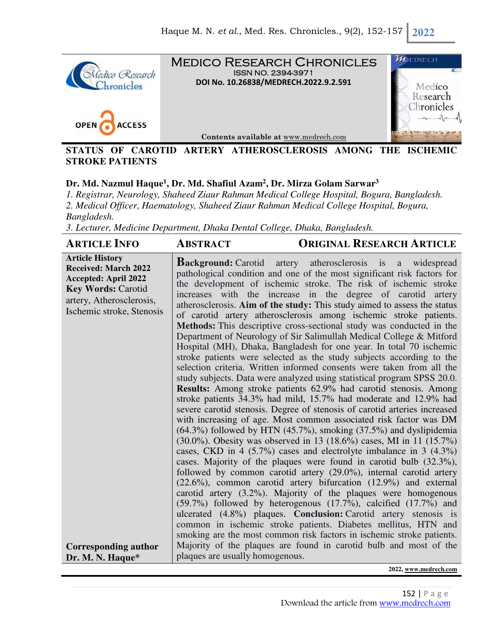

### **STATUS OF CAROTID ARTERY ATHEROSCLEROSIS AMONG THE ISCHEMIC STROKE PATIENTS**

# **Dr. Md. Nazmul Haque<sup>1</sup> , Dr. Md. Shafiul Azam<sup>2</sup> , Dr. Mirza Golam Sarwar<sup>3</sup>**

*1. Registrar, Neurology, Shaheed Ziaur Rahman Medical College Hospital, Bogura, Bangladesh. 2. Medical Officer, Haematology, Shaheed Ziaur Rahman Medical College Hospital, Bogura, Bangladesh.* 

*3. Lecturer, Medicine Department, Dhaka Dental College, Dhaka, Bangladesh.*

| <b>Article History</b><br><b>Background:</b> Carotid artery atherosclerosis is a widespread<br><b>Received: March 2022</b><br>pathological condition and one of the most significant risk factors for<br><b>Accepted: April 2022</b><br>the development of ischemic stroke. The risk of ischemic stroke<br><b>Key Words: Carotid</b><br>increases with the increase in the degree of carotid artery<br>artery, Atherosclerosis,<br>atherosclerosis. Aim of the study: This study aimed to assess the status<br>Ischemic stroke, Stenosis<br>of carotid artery atherosclerosis among ischemic stroke patients.<br>Methods: This descriptive cross-sectional study was conducted in the<br>Department of Neurology of Sir Salimullah Medical College & Mitford<br>Hospital (MH), Dhaka, Bangladesh for one year. In total 70 ischemic<br>stroke patients were selected as the study subjects according to the<br>selection criteria. Written informed consents were taken from all the<br>study subjects. Data were analyzed using statistical program SPSS 20.0.<br>Results: Among stroke patients 62.9% had carotid stenosis. Among<br>stroke patients 34.3% had mild, 15.7% had moderate and 12.9% had<br>severe carotid stenosis. Degree of stenosis of carotid arteries increased<br>with increasing of age. Most common associated risk factor was DM<br>$(64.3\%)$ followed by HTN $(45.7\%)$ , smoking $(37.5\%)$ and dyslipidemia<br>$(30.0\%)$ . Obesity was observed in 13 (18.6%) cases, MI in 11 (15.7%)<br>cases, CKD in 4 $(5.7\%)$ cases and electrolyte imbalance in 3 $(4.3\%)$<br>cases. Majority of the plaques were found in carotid bulb (32.3%),<br>followed by common carotid artery (29.0%), internal carotid artery<br>$(22.6\%)$ , common carotid artery bifurcation $(12.9\%)$ and external<br>carotid artery $(3.2\%)$ . Majority of the plaques were homogenous<br>$(59.7%)$ followed by heterogenous $(17.7%)$ , calcified $(17.7%)$ and<br>ulcerated (4.8%) plaques. Conclusion: Carotid artery stenosis is<br>common in ischemic stroke patients. Diabetes mellitus, HTN and<br>smoking are the most common risk factors in ischemic stroke patients.<br>Majority of the plaques are found in carotid bulb and most of the<br><b>Corresponding author</b><br>plaques are usually homogenous.<br>Dr. M. N. Haque* | <b>ARTICLE INFO</b> | <b>ABSTRACT</b> | <b>ORIGINAL RESEARCH ARTICLE</b> |
|-------------------------------------------------------------------------------------------------------------------------------------------------------------------------------------------------------------------------------------------------------------------------------------------------------------------------------------------------------------------------------------------------------------------------------------------------------------------------------------------------------------------------------------------------------------------------------------------------------------------------------------------------------------------------------------------------------------------------------------------------------------------------------------------------------------------------------------------------------------------------------------------------------------------------------------------------------------------------------------------------------------------------------------------------------------------------------------------------------------------------------------------------------------------------------------------------------------------------------------------------------------------------------------------------------------------------------------------------------------------------------------------------------------------------------------------------------------------------------------------------------------------------------------------------------------------------------------------------------------------------------------------------------------------------------------------------------------------------------------------------------------------------------------------------------------------------------------------------------------------------------------------------------------------------------------------------------------------------------------------------------------------------------------------------------------------------------------------------------------------------------------------------------------------------------------------------------------------------------------------------------------------------------------------------------------------------------------------------|---------------------|-----------------|----------------------------------|
|                                                                                                                                                                                                                                                                                                                                                                                                                                                                                                                                                                                                                                                                                                                                                                                                                                                                                                                                                                                                                                                                                                                                                                                                                                                                                                                                                                                                                                                                                                                                                                                                                                                                                                                                                                                                                                                                                                                                                                                                                                                                                                                                                                                                                                                                                                                                                 |                     |                 |                                  |
|                                                                                                                                                                                                                                                                                                                                                                                                                                                                                                                                                                                                                                                                                                                                                                                                                                                                                                                                                                                                                                                                                                                                                                                                                                                                                                                                                                                                                                                                                                                                                                                                                                                                                                                                                                                                                                                                                                                                                                                                                                                                                                                                                                                                                                                                                                                                                 |                     |                 |                                  |

**2022, www.medrech.com**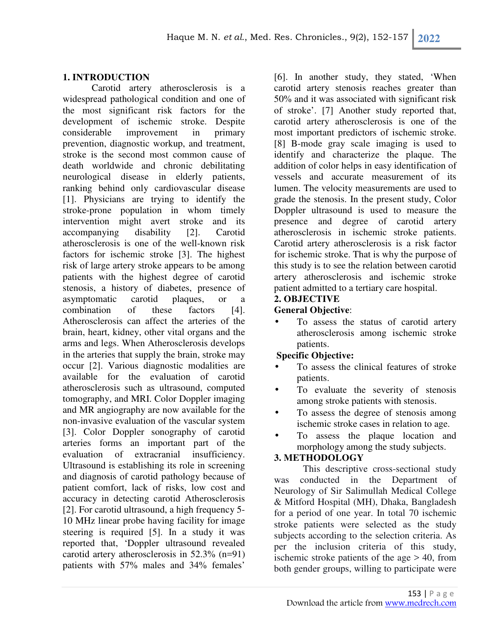### **1. INTRODUCTION**

Carotid artery atherosclerosis is a widespread pathological condition and one of the most significant risk factors for the development of ischemic stroke. Despite considerable improvement in primary prevention, diagnostic workup, and treatment, stroke is the second most common cause of death worldwide and chronic debilitating neurological disease in elderly patients, ranking behind only cardiovascular disease [1]. Physicians are trying to identify the stroke-prone population in whom timely intervention might avert stroke and its accompanying disability [2]. Carotid atherosclerosis is one of the well-known risk factors for ischemic stroke [3]. The highest risk of large artery stroke appears to be among patients with the highest degree of carotid stenosis, a history of diabetes, presence of asymptomatic carotid plaques, or combination of these factors [4]. Atherosclerosis can affect the arteries of the brain, heart, kidney, other vital organs and the arms and legs. When Atherosclerosis develops in the arteries that supply the brain, stroke may occur [2]. Various diagnostic modalities are available for the evaluation of carotid atherosclerosis such as ultrasound, computed tomography, and MRI. Color Doppler imaging and MR angiography are now available for the non-invasive evaluation of the vascular system [3]. Color Doppler sonography of carotid arteries forms an important part of the evaluation of extracranial insufficiency. Ultrasound is establishing its role in screening and diagnosis of carotid pathology because of patient comfort, lack of risks, low cost and accuracy in detecting carotid Atherosclerosis [2]. For carotid ultrasound, a high frequency 5- 10 MHz linear probe having facility for image steering is required [5]. In a study it was reported that, 'Doppler ultrasound revealed carotid artery atherosclerosis in 52.3% (n=91) patients with 57% males and 34% females'

[6]. In another study, they stated, 'When carotid artery stenosis reaches greater than 50% and it was associated with significant risk of stroke'. [7] Another study reported that, carotid artery atherosclerosis is one of the most important predictors of ischemic stroke. [8] B-mode gray scale imaging is used to identify and characterize the plaque. The addition of color helps in easy identification of vessels and accurate measurement of its lumen. The velocity measurements are used to grade the stenosis. In the present study, Color Doppler ultrasound is used to measure the presence and degree of carotid artery atherosclerosis in ischemic stroke patients. Carotid artery atherosclerosis is a risk factor for ischemic stroke. That is why the purpose of this study is to see the relation between carotid artery atherosclerosis and ischemic stroke patient admitted to a tertiary care hospital.

## **2. OBJECTIVE**

## **General Objective**:

• To assess the status of carotid artery atherosclerosis among ischemic stroke patients.

# **Specific Objective:**

- To assess the clinical features of stroke patients.
- To evaluate the severity of stenosis among stroke patients with stenosis.
- To assess the degree of stenosis among ischemic stroke cases in relation to age.
- To assess the plaque location and morphology among the study subjects.

### **3. METHODOLOGY**

This descriptive cross-sectional study was conducted in the Department of Neurology of Sir Salimullah Medical College & Mitford Hospital (MH), Dhaka, Bangladesh for a period of one year. In total 70 ischemic stroke patients were selected as the study subjects according to the selection criteria. As per the inclusion criteria of this study, ischemic stroke patients of the age  $> 40$ , from both gender groups, willing to participate were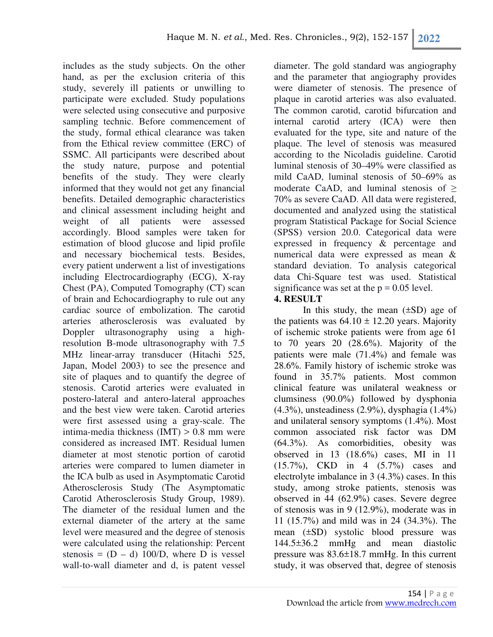includes as the study subjects. On the other hand, as per the exclusion criteria of this study, severely ill patients or unwilling to participate were excluded. Study populations were selected using consecutive and purposive sampling technic. Before commencement of the study, formal ethical clearance was taken from the Ethical review committee (ERC) of SSMC. All participants were described about the study nature, purpose and potential benefits of the study. They were clearly informed that they would not get any financial benefits. Detailed demographic characteristics and clinical assessment including height and weight of all patients were assessed accordingly. Blood samples were taken for estimation of blood glucose and lipid profile and necessary biochemical tests. Besides, every patient underwent a list of investigations including Electrocardiography (ECG), X-ray Chest (PA), Computed Tomography (CT) scan of brain and Echocardiography to rule out any cardiac source of embolization. The carotid arteries atherosclerosis was evaluated by Doppler ultrasonography using a highresolution B-mode ultrasonography with 7.5 MHz linear-array transducer (Hitachi 525, Japan, Model 2003) to see the presence and site of plaques and to quantify the degree of stenosis. Carotid arteries were evaluated in postero-lateral and antero-lateral approaches and the best view were taken. Carotid arteries were first assessed using a gray-scale. The intima-media thickness (IMT) > 0.8 mm were considered as increased IMT. Residual lumen diameter at most stenotic portion of carotid arteries were compared to lumen diameter in the ICA bulb as used in Asymptomatic Carotid Atherosclerosis Study (The Asymptomatic Carotid Atherosclerosis Study Group, 1989). The diameter of the residual lumen and the external diameter of the artery at the same level were measured and the degree of stenosis were calculated using the relationship: Percent stenosis =  $(D - d)$  100/D, where D is vessel wall-to-wall diameter and d, is patent vessel

diameter. The gold standard was angiography and the parameter that angiography provides were diameter of stenosis. The presence of plaque in carotid arteries was also evaluated. The common carotid, carotid bifurcation and internal carotid artery (ICA) were then evaluated for the type, site and nature of the plaque. The level of stenosis was measured according to the Nicoladis guideline. Carotid luminal stenosis of 30–49% were classified as mild CaAD, luminal stenosis of 50–69% as moderate CaAD, and luminal stenosis of  $\geq$ 70% as severe CaAD. All data were registered, documented and analyzed using the statistical program Statistical Package for Social Science (SPSS) version 20.0. Categorical data were expressed in frequency & percentage and numerical data were expressed as mean & standard deviation. To analysis categorical data Chi-Square test was used. Statistical significance was set at the  $p = 0.05$  level.

## **4. RESULT**

In this study, the mean  $(\pm SD)$  age of the patients was  $64.10 \pm 12.20$  years. Majority of ischemic stroke patients were from age 61 to 70 years 20 (28.6%). Majority of the patients were male (71.4%) and female was 28.6%. Family history of ischemic stroke was found in 35.7% patients. Most common clinical feature was unilateral weakness or clumsiness (90.0%) followed by dysphonia (4.3%), unsteadiness (2.9%), dysphagia (1.4%) and unilateral sensory symptoms (1.4%). Most common associated risk factor was DM (64.3%). As comorbidities, obesity was observed in 13 (18.6%) cases, MI in 11 (15.7%), CKD in 4 (5.7%) cases and electrolyte imbalance in 3 (4.3%) cases. In this study, among stroke patients, stenosis was observed in 44 (62.9%) cases. Severe degree of stenosis was in 9 (12.9%), moderate was in 11 (15.7%) and mild was in 24 (34.3%). The mean (±SD) systolic blood pressure was 144.5±36.2 mmHg and mean diastolic pressure was 83.6±18.7 mmHg. In this current study, it was observed that, degree of stenosis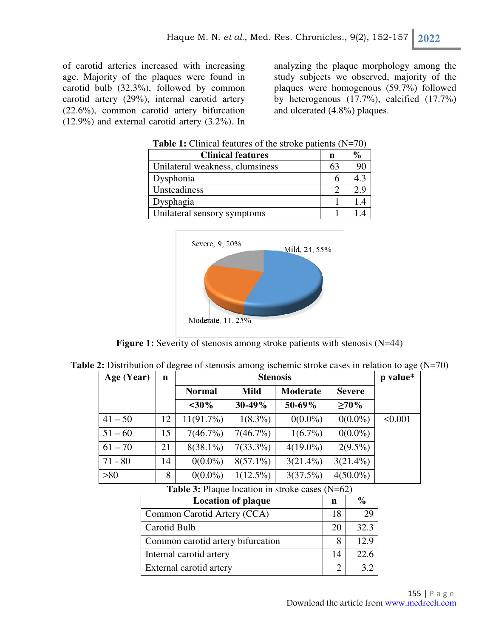of carotid arteries increased with increasing age. Majority of the plaques were found in carotid bulb (32.3%), followed by common carotid artery (29%), internal carotid artery (22.6%), common carotid artery bifurcation (12.9%) and external carotid artery (3.2%). In analyzing the plaque morphology among the study subjects we observed, majority of the plaques were homogenous (59.7%) followed by heterogenous (17.7%), calcified (17.7%) and ulcerated (4.8%) plaques.

| <b>Table 1:</b> Clinical features of the stroke patients $(N=70)$ |  |  |
|-------------------------------------------------------------------|--|--|
|-------------------------------------------------------------------|--|--|

| <b>Clinical features</b>        | n  | $\frac{0}{0}$ |
|---------------------------------|----|---------------|
| Unilateral weakness, clumsiness | 63 | 90            |
| Dysphonia                       | h  | 4.3           |
| Unsteadiness                    |    | 2.9           |
| Dysphagia                       |    |               |
| Unilateral sensory symptoms     |    |               |



**Figure 1:** Severity of stenosis among stroke patients with stenosis (N=44)

| Age (Year) | $\mathbf n$ | <b>Stenosis</b> |             |             | p value*      |         |
|------------|-------------|-----------------|-------------|-------------|---------------|---------|
|            |             | <b>Normal</b>   | <b>Mild</b> | Moderate    | <b>Severe</b> |         |
|            |             | $<$ 30%         | 30-49%      | 50-69%      | $\geq 70\%$   |         |
| $41 - 50$  | 12          | $11(91.7\%)$    | $1(8.3\%)$  | $0(0.0\%)$  | $0(0.0\%)$    | < 0.001 |
| $51 - 60$  | 15          | 7(46.7%)        | $7(46.7\%)$ | $1(6.7\%)$  | $0(0.0\%)$    |         |
| $61 - 70$  | 21          | $8(38.1\%)$     | $7(33.3\%)$ | $4(19.0\%)$ | $2(9.5\%)$    |         |
| $71 - 80$  | 14          | $0(0.0\%)$      | $8(57.1\%)$ | $3(21.4\%)$ | $3(21.4\%)$   |         |
| >80        | 8           | $0(0.0\%)$      | $1(12.5\%)$ | 3(37.5%)    | $4(50.0\%)$   |         |

**Table 3:** Plaque location in stroke cases (N=62)

| <b>Location of plaque</b>         | n  | $\frac{0}{0}$ |
|-----------------------------------|----|---------------|
| Common Carotid Artery (CCA)       | 18 | 29            |
| Carotid Bulb                      | 20 | 32.3          |
| Common carotid artery bifurcation |    | 12.9          |
| Internal carotid artery           | 14 | 22.6          |
| External carotid artery           |    | 32            |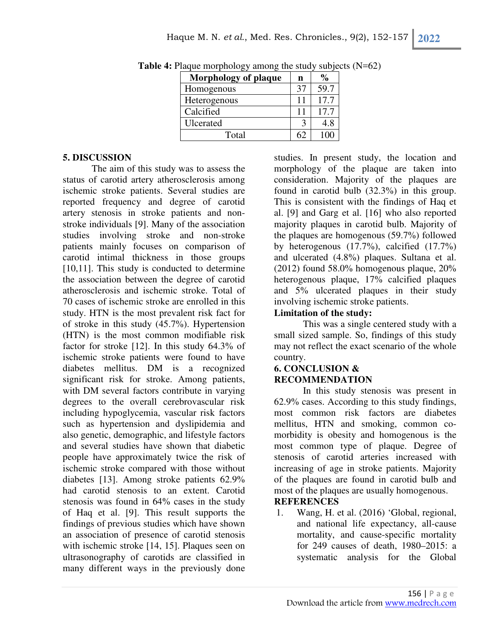| <b>Morphology of plaque</b> | n  | $\frac{0}{0}$ |
|-----------------------------|----|---------------|
| Homogenous                  | 37 | 59.7          |
| Heterogenous                | 11 | 17.7          |
| Calcified                   | 11 | 17.7          |
| Ulcerated                   |    | 4.8           |
| Total                       |    |               |

**Table 4:** Plaque morphology among the study subjects (N=62)

#### **5. DISCUSSION**

The aim of this study was to assess the status of carotid artery atherosclerosis among ischemic stroke patients. Several studies are reported frequency and degree of carotid artery stenosis in stroke patients and nonstroke individuals [9]. Many of the association studies involving stroke and non-stroke patients mainly focuses on comparison of carotid intimal thickness in those groups [10,11]. This study is conducted to determine the association between the degree of carotid atherosclerosis and ischemic stroke. Total of 70 cases of ischemic stroke are enrolled in this study. HTN is the most prevalent risk fact for of stroke in this study (45.7%). Hypertension (HTN) is the most common modifiable risk factor for stroke [12]. In this study 64.3% of ischemic stroke patients were found to have diabetes mellitus. DM is a recognized significant risk for stroke. Among patients, with DM several factors contribute in varying degrees to the overall cerebrovascular risk including hypoglycemia, vascular risk factors such as hypertension and dyslipidemia and also genetic, demographic, and lifestyle factors and several studies have shown that diabetic people have approximately twice the risk of ischemic stroke compared with those without diabetes [13]. Among stroke patients 62.9% had carotid stenosis to an extent. Carotid stenosis was found in 64% cases in the study of Haq et al. [9]. This result supports the findings of previous studies which have shown an association of presence of carotid stenosis with ischemic stroke [14, 15]. Plaques seen on ultrasonography of carotids are classified in many different ways in the previously done

studies. In present study, the location and morphology of the plaque are taken into consideration. Majority of the plaques are found in carotid bulb (32.3%) in this group. This is consistent with the findings of Haq et al. [9] and Garg et al. [16] who also reported majority plaques in carotid bulb. Majority of the plaques are homogenous (59.7%) followed by heterogenous (17.7%), calcified (17.7%) and ulcerated (4.8%) plaques. Sultana et al. (2012) found 58.0% homogenous plaque, 20% heterogenous plaque, 17% calcified plaques and 5% ulcerated plaques in their study involving ischemic stroke patients.

### **Limitation of the study:**

This was a single centered study with a small sized sample. So, findings of this study may not reflect the exact scenario of the whole country.

#### **6. CONCLUSION & RECOMMENDATION**

In this study stenosis was present in 62.9% cases. According to this study findings, most common risk factors are diabetes mellitus, HTN and smoking, common comorbidity is obesity and homogenous is the most common type of plaque. Degree of stenosis of carotid arteries increased with increasing of age in stroke patients. Majority of the plaques are found in carotid bulb and most of the plaques are usually homogenous. **REFERENCES** 

1. Wang, H. et al. (2016) 'Global, regional, and national life expectancy, all-cause mortality, and cause-specific mortality for 249 causes of death, 1980–2015: a systematic analysis for the Global